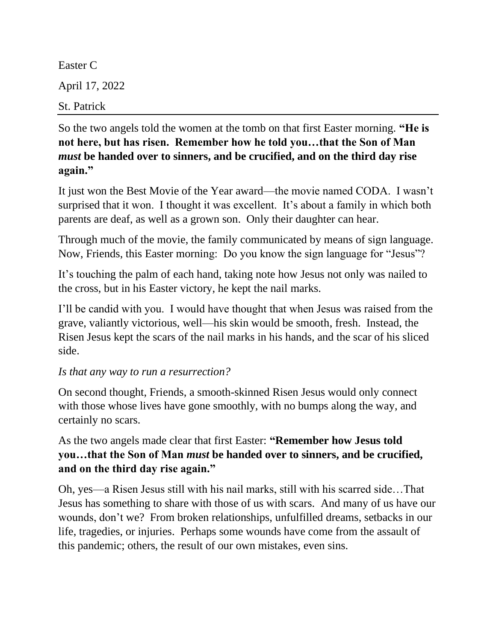Easter C April 17, 2022 St. Patrick

So the two angels told the women at the tomb on that first Easter morning. **"He is not here, but has risen. Remember how he told you…that the Son of Man**  *must* **be handed over to sinners, and be crucified, and on the third day rise again."**

It just won the Best Movie of the Year award—the movie named CODA. I wasn't surprised that it won. I thought it was excellent. It's about a family in which both parents are deaf, as well as a grown son. Only their daughter can hear.

Through much of the movie, the family communicated by means of sign language. Now, Friends, this Easter morning: Do you know the sign language for "Jesus"?

It's touching the palm of each hand, taking note how Jesus not only was nailed to the cross, but in his Easter victory, he kept the nail marks.

I'll be candid with you. I would have thought that when Jesus was raised from the grave, valiantly victorious, well—his skin would be smooth, fresh. Instead, the Risen Jesus kept the scars of the nail marks in his hands, and the scar of his sliced side.

## *Is that any way to run a resurrection?*

On second thought, Friends, a smooth-skinned Risen Jesus would only connect with those whose lives have gone smoothly, with no bumps along the way, and certainly no scars.

As the two angels made clear that first Easter: **"Remember how Jesus told you…that the Son of Man** *must* **be handed over to sinners, and be crucified, and on the third day rise again."**

Oh, yes—a Risen Jesus still with his nail marks, still with his scarred side…That Jesus has something to share with those of us with scars. And many of us have our wounds, don't we? From broken relationships, unfulfilled dreams, setbacks in our life, tragedies, or injuries. Perhaps some wounds have come from the assault of this pandemic; others, the result of our own mistakes, even sins.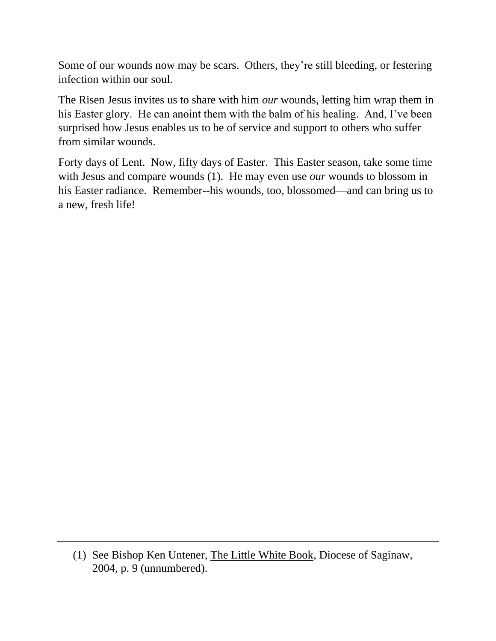Some of our wounds now may be scars. Others, they're still bleeding, or festering infection within our soul.

The Risen Jesus invites us to share with him *our* wounds, letting him wrap them in his Easter glory. He can anoint them with the balm of his healing. And, I've been surprised how Jesus enables us to be of service and support to others who suffer from similar wounds.

Forty days of Lent. Now, fifty days of Easter. This Easter season, take some time with Jesus and compare wounds (1). He may even use *our* wounds to blossom in his Easter radiance. Remember--his wounds, too, blossomed—and can bring us to a new, fresh life!

<sup>(1)</sup> See Bishop Ken Untener, The Little White Book, Diocese of Saginaw, 2004, p. 9 (unnumbered).